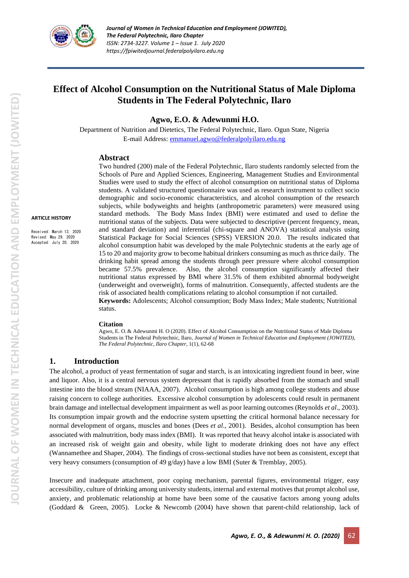

# **Effect of Alcohol Consumption on the Nutritional Status of Male Diploma Students in The Federal Polytechnic, Ilaro**

#### **Agwo, E.O. & Adewunmi H.O.**

Department of Nutrition and Dietetics, The Federal Polytechnic, Ilaro. Ogun State, Nigeria E-mail Address: [emmanuel.agwo@federalpolyilaro.edu.ng](mailto:emmanuel.agwo@federalpolyilaro.edu.ng)

## **Abstract**

Schools of Pure and Applied Sciences, Engineering, Management Studies and Environmental Studies were used to study the effect of alcohol consumption on nutritional status of Diploma students. A validated structured questionnaire was used as research instrument to collect socio demographic and socio-economic characteristics, and alcohol consumption of the research subjects, while bodyweights and heights (anthropometric parameters) were measured using standard methods. The Body Mass Index (BMI) were estimated and used to define the nutritional status of the subjects. Data were subjected to descriptive (percent frequency, mean, and standard deviation) and inferential (chi-square and ANOVA) statistical analysis using Statistical Package for Social Sciences (SPSS) VERSION 20.0. The results indicated that alcohol consumption habit was developed by the male Polytechnic students at the early age of 15 to 20 and majority grow to become habitual drinkers consuming as much as thrice daily. The drinking habit spread among the students through peer pressure where alcohol consumption became 57.5% prevalence. Also, the alcohol consumption significantly affected their nutritional status expressed by BMI where 31.5% of them exhibited abnormal bodyweight (underweight and overweight), forms of malnutrition. Consequently, affected students are the risk of associated health complications relating to alcohol consumption if not curtailed. **Keywords:** Adolescents; Alcohol consumption; Body Mass Index; Male students; Nutritional status.

#### **Citation**

Agwo, E. O. & Adewunmi H. O (2020). Effect of Alcohol Consumption on the Nutritional Status of Male Diploma Students in The Federal Polytechnic, Ilaro, *Journal of Women in Technical Education and Employment (JOWITED), The Federal Polytechnic, Ilaro Chapter*, 1(1), 62-68

# **1. Introduction**

The alcohol, a product of yeast fermentation of sugar and starch, is an intoxicating ingredient found in beer, wine and liquor. Also, it is a central nervous system depressant that is rapidly absorbed from the stomach and small intestine into the blood stream (NIAAA, 2007). Alcohol consumption is high among college students and abuse raising concern to college authorities. Excessive alcohol consumption by adolescents could result in permanent brain damage and intellectual development impairment as well as poor learning outcomes (Reynolds *et al*., 2003). Its consumption impair growth and the endocrine system upsetting the critical hormonal balance necessary for normal development of organs, muscles and bones (Dees *et al*., 2001). Besides, alcohol consumption has been associated with malnutrition, body mass index (BMI). It was reported that heavy alcohol intake is associated with an increased risk of weight gain and obesity, while light to moderate drinking does not have any effect (Wannamethee and Shaper, 2004). The findings of cross-sectional studies have not been as consistent, except that very heavy consumers (consumption of 49 g/day) have a low BMI (Suter & Tremblay, 2005).

Insecure and inadequate attachment, poor coping mechanism, parental figures, environmental trigger, easy accessibility, culture of drinking among university students, internal and external motives that prompt alcohol use, anxiety, and problematic relationship at home have been some of the causative factors among young adults (Goddard & Green, 2005). Locke & Newcomb (2004) have shown that parent-child relationship, lack of

**ARTICLE HISTORY**

Received: March 13, 2020 Revised: May 29, 2020 Accepted: July 20, 2020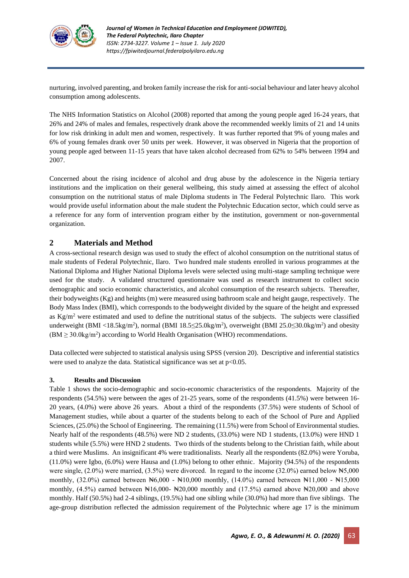

nurturing, involved parenting, and broken family increase the risk for anti-social behaviour and later heavy alcohol consumption among adolescents.

The NHS Information Statistics on Alcohol (2008) reported that among the young people aged 16-24 years, that 26% and 24% of males and females, respectively drank above the recommended weekly limits of 21 and 14 units for low risk drinking in adult men and women, respectively. It was further reported that 9% of young males and 6% of young females drank over 50 units per week. However, it was observed in Nigeria that the proportion of young people aged between 11-15 years that have taken alcohol decreased from 62% to 54% between 1994 and 2007.

Concerned about the rising incidence of alcohol and drug abuse by the adolescence in the Nigeria tertiary institutions and the implication on their general wellbeing, this study aimed at assessing the effect of alcohol consumption on the nutritional status of male Diploma students in The Federal Polytechnic Ilaro. This work would provide useful information about the male student the Polytechnic Education sector, which could serve as a reference for any form of intervention program either by the institution, government or non-governmental organization.

# **2 Materials and Method**

A cross-sectional research design was used to study the effect of alcohol consumption on the nutritional status of male students of Federal Polytechnic, Ilaro. Two hundred male students enrolled in various programmes at the National Diploma and Higher National Diploma levels were selected using multi-stage sampling technique were used for the study. A validated structured questionnaire was used as research instrument to collect socio demographic and socio economic characteristics, and alcohol consumption of the research subjects. Thereafter, their bodyweights (Kg) and heights (m) were measured using bathroom scale and height gauge, respectively. The Body Mass Index (BMI), which corresponds to the bodyweight divided by the square of the height and expressed as  $Kg/m^2$  were estimated and used to define the nutritional status of the subjects. The subjects were classified underweight (BMI <18.5kg/m<sup>2</sup>), normal (BMI 18.5≤25.0kg/m<sup>2</sup>), overweight (BMI 25.0≤30.0kg/m<sup>2</sup>) and obesity  $(BM \geq 30.0 \text{kg/m}^2)$  according to World Health Organisation (WHO) recommendations.

Data collected were subjected to statistical analysis using SPSS (version 20). Descriptive and inferential statistics were used to analyze the data. Statistical significance was set at  $p<0.05$ .

#### **3. Results and Discussion**

Table 1 shows the socio-demographic and socio-economic characteristics of the respondents. Majority of the respondents (54.5%) were between the ages of 21-25 years, some of the respondents (41.5%) were between 16- 20 years, (4.0%) were above 26 years. About a third of the respondents (37.5%) were students of School of Management studies, while about a quarter of the students belong to each of the School of Pure and Applied Sciences, (25.0%) the School of Engineering. The remaining (11.5%) were from School of Environmental studies. Nearly half of the respondents (48.5%) were ND 2 students, (33.0%) were ND 1 students, (13.0%) were HND 1 students while (5.5%) were HND 2 students. Two thirds of the students belong to the Christian faith, while about a third were Muslims. An insignificant 4% were traditionalists. Nearly all the respondents (82.0%) were Yoruba, (11.0%) were Igbo, (6.0%) were Hausa and (1.0%) belong to other ethnic. Majority (94.5%) of the respondents were single, (2.0%) were married, (3.5%) were divorced. In regard to the income (32.0%) earned below ₦5,000 monthly,  $(32.0\%)$  earned between  $\text{H}_0(600 - \text{H}_0(10,000))$  monthly,  $(14.0\%)$  earned between  $\text{H}_0(10,000)$  -  $\text{H}_0(10,000)$ monthly,  $(4.5\%)$  earned between Nt16,000- New  $20,000$  monthly and  $(17.5\%)$  earned above New  $20,000$  and above monthly. Half (50.5%) had 2-4 siblings, (19.5%) had one sibling while (30.0%) had more than five siblings. The age-group distribution reflected the admission requirement of the Polytechnic where age 17 is the minimum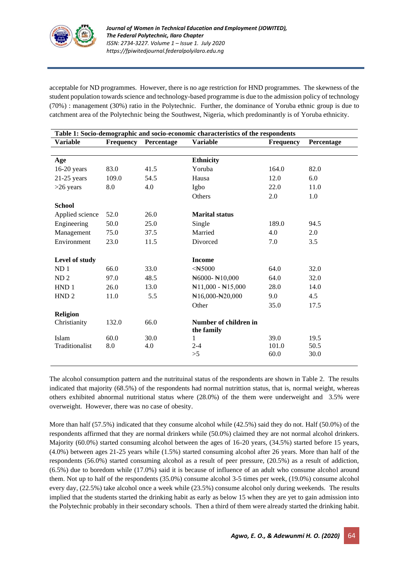

acceptable for ND programmes. However, there is no age restriction for HND programmes. The skewness of the student population towards science and technology-based programme is due to the admission policy of technology (70%) : management (30%) ratio in the Polytechnic. Further, the dominance of Yoruba ethnic group is due to catchment area of the Polytechnic being the Southwest, Nigeria, which predominantly is of Yoruba ethnicity.

| Table 1: Socio-demographic and socio-economic characteristics of the respondents |                  |            |                                       |           |            |  |
|----------------------------------------------------------------------------------|------------------|------------|---------------------------------------|-----------|------------|--|
| <b>Variable</b>                                                                  | <b>Frequency</b> | Percentage | <b>Variable</b>                       | Frequency | Percentage |  |
|                                                                                  |                  |            |                                       |           |            |  |
| Age                                                                              |                  |            | <b>Ethnicity</b>                      |           |            |  |
| $16-20$ years                                                                    | 83.0             | 41.5       | Yoruba                                | 164.0     | 82.0       |  |
| $21-25$ years                                                                    | 109.0            | 54.5       | Hausa                                 | 12.0      | 6.0        |  |
| $>26$ years                                                                      | 8.0              | 4.0        | Igbo                                  | 22.0      | 11.0       |  |
|                                                                                  |                  |            | Others                                | 2.0       | 1.0        |  |
| <b>School</b>                                                                    |                  |            |                                       |           |            |  |
| Applied science                                                                  | 52.0             | 26.0       | <b>Marital status</b>                 |           |            |  |
| Engineering                                                                      | 50.0             | 25.0       | Single                                | 189.0     | 94.5       |  |
| Management                                                                       | 75.0             | 37.5       | Married                               | 4.0       | 2.0        |  |
| Environment                                                                      | 23.0             | 11.5       | Divorced                              | 7.0       | 3.5        |  |
|                                                                                  |                  |            |                                       |           |            |  |
| Level of study                                                                   |                  |            | <b>Income</b>                         |           |            |  |
| ND <sub>1</sub>                                                                  | 66.0             | 33.0       |                                       | 64.0      | 32.0       |  |
| ND <sub>2</sub>                                                                  | 97.0             | 48.5       | $\text{N}6000 - \text{N}10,000$       | 64.0      | 32.0       |  |
| HND <sub>1</sub>                                                                 | 26.0             | 13.0       | $\mathbb{N}11,000 - \mathbb{N}15,000$ | 28.0      | 14.0       |  |
| HND <sub>2</sub>                                                                 | 11.0             | 5.5        | $\text{N16,000-N20,000}$              | 9.0       | 4.5        |  |
|                                                                                  |                  |            | Other                                 | 35.0      | 17.5       |  |
| <b>Religion</b>                                                                  |                  |            |                                       |           |            |  |
| Christianity                                                                     | 132.0            | 66.0       | Number of children in                 |           |            |  |
|                                                                                  |                  |            | the family                            |           |            |  |
| Islam                                                                            | 60.0             | 30.0       | 1                                     | 39.0      | 19.5       |  |
| Traditionalist                                                                   | 8.0              | 4.0        | $2 - 4$                               | 101.0     | 50.5       |  |
|                                                                                  |                  |            | >5                                    | 60.0      | 30.0       |  |

The alcohol consumption pattern and the nutrituinal status of the respondents are shown in Table 2. The results indicated that majority (68.5%) of the respondents had normal nutrittion status, that is, normal weight, whereas others exhibited abnormal nutritional status where (28.0%) of the them were underweight and 3.5% were overweight. However, there was no case of obesity.

More than half (57.5%) indicated that they consume alcohol while (42.5%) said they do not. Half (50.0%) of the respondents affirmed that they are normal drinkers while (50.0%) claimed they are not normal alcohol drinkers. Majority (60.0%) started consuming alcohol between the ages of 16-20 years, (34.5%) started before 15 years, (4.0%) between ages 21-25 years while (1.5%) started consuming alcohol after 26 years. More than half of the respondents (56.0%) started consuming alcohol as a result of peer pressure, (20.5%) as a result of addiction, (6.5%) due to boredom while (17.0%) said it is because of influence of an adult who consume alcohol around them. Not up to half of the respondents (35.0%) consume alcohol 3-5 times per week, (19.0%) consume alcohol every day, (22.5%) take alcohol once a week while (23.5%) consume alcohol only during weekends. The results implied that the students started the drinking habit as early as below 15 when they are yet to gain admission into the Polytechnic probably in their secondary schools. Then a third of them were already started the drinking habit.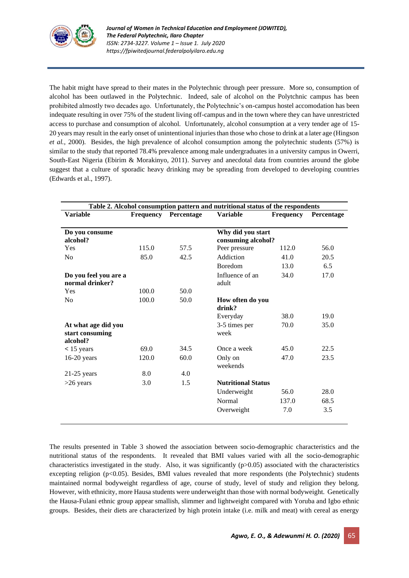

The habit might have spread to their mates in the Polytechnic through peer pressure. More so, consumption of alcohol has been outlawed in the Polytechnic. Indeed, sale of alcohol on the Polytchnic campus has been prohibited almostly two decades ago. Unfortunately, the Polytechnic's on-campus hostel accomodation has been indequate resulting in over 75% of the student living off-campus and in the town where they can have unrestricted access to purchase and consumption of alcohol. Unfortunately, alcohol consumption at a very tender age of 15- 20 years may result in the early onset of unintentional injuries than those who chose to drink at a later age (Hingson *et al.*, 2000). Besides, the high prevalence of alcohol consumption among the polytechnic students (57%) is similar to the study that reported 78.4% prevalence among male undergraduates in a university campus in Owerri, South-East Nigeria (Ebirim & Morakinyo, 2011). Survey and anecdotal data from countries around the globe suggest that a culture of sporadic heavy drinking may be spreading from developed to developing countries (Edwards et al., 1997).

| Table 2. Alcohol consumption pattern and nutritional status of the respondents |           |            |                            |                  |            |  |
|--------------------------------------------------------------------------------|-----------|------------|----------------------------|------------------|------------|--|
| <b>Variable</b>                                                                | Frequency | Percentage | <b>Variable</b>            | <b>Frequency</b> | Percentage |  |
|                                                                                |           |            |                            |                  |            |  |
| Do you consume                                                                 |           |            | Why did you start          |                  |            |  |
| alcohol?                                                                       |           |            | consuming alcohol?         |                  |            |  |
| Yes                                                                            | 115.0     | 57.5       | Peer pressure              | 112.0            | 56.0       |  |
| N <sub>o</sub>                                                                 | 85.0      | 42.5       | Addiction                  | 41.0             | 20.5       |  |
|                                                                                |           |            | <b>Boredom</b>             | 13.0             | 6.5        |  |
| Do you feel you are a                                                          |           |            | Influence of an            | 34.0             | 17.0       |  |
| normal drinker?                                                                |           |            | adult                      |                  |            |  |
| Yes                                                                            | 100.0     | 50.0       |                            |                  |            |  |
| N <sub>0</sub>                                                                 | 100.0     | 50.0       | How often do you<br>drink? |                  |            |  |
|                                                                                |           |            | Everyday                   | 38.0             | 19.0       |  |
| At what age did you                                                            |           |            | 3-5 times per              | 70.0             | 35.0       |  |
| start consuming                                                                |           |            | week                       |                  |            |  |
| alcohol?                                                                       | 69.0      | 34.5       | Once a week                | 45.0             | 22.5       |  |
| $< 15$ years                                                                   |           |            |                            |                  |            |  |
| $16-20$ years                                                                  | 120.0     | 60.0       | Only on<br>weekends        | 47.0             | 23.5       |  |
| $21-25$ years                                                                  | 8.0       | 4.0        |                            |                  |            |  |
| $>26$ years                                                                    | 3.0       | 1.5        | <b>Nutritional Status</b>  |                  |            |  |
|                                                                                |           |            | Underweight                | 56.0             | 28.0       |  |
|                                                                                |           |            | Normal                     | 137.0            | 68.5       |  |
|                                                                                |           |            | Overweight                 | 7.0              | 3.5        |  |
|                                                                                |           |            |                            |                  |            |  |

The results presented in Table 3 showed the association between socio-demographic characteristics and the nutritional status of the respondents. It revealed that BMI values varied with all the socio-demographic characteristics investigated in the study. Also, it was significantly (p>0.05) associated with the characteristics excepting religion (p<0.05). Besides, BMI values revealed that more respondents (the Polytechnic) students maintained normal bodyweight regardless of age, course of study, level of study and religion they belong. However, with ethnicity, more Hausa students were underweight than those with normal bodyweight. Genetically the Hausa-Fulani ethnic group appear smallish, slimmer and lightweight compared with Yoruba and Igbo ethnic groups. Besides, their diets are characterized by high protein intake (i.e. milk and meat) with cereal as energy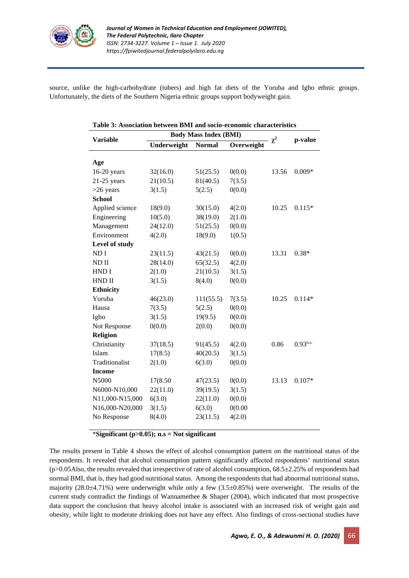

source, unlike the high-carbohydrate (tubers) and high fat diets of the Yoruba and Igbo ethnic groups. Unfortunately, the diets of the Southern Nigeria ethnic groups support bodyweight gain.

| Table 3: Association between BMI and socio-economic characteristics |                              |           |            |          |               |  |
|---------------------------------------------------------------------|------------------------------|-----------|------------|----------|---------------|--|
|                                                                     | <b>Body Mass Index (BMI)</b> |           |            |          |               |  |
| <b>Variable</b>                                                     | <b>Normal</b><br>Underweight |           | Overweight | $\chi^2$ | p-value       |  |
|                                                                     |                              |           |            |          |               |  |
| Age                                                                 |                              |           |            |          |               |  |
| 16-20 years                                                         | 32(16.0)                     | 51(25.5)  | 0(0.0)     | 13.56    | $0.009*$      |  |
| $21-25$ years                                                       | 21(10.5)                     | 81(40.5)  | 7(3.5)     |          |               |  |
| $>26$ years                                                         | 3(1.5)                       | 5(2.5)    | 0(0.0)     |          |               |  |
| <b>School</b>                                                       |                              |           |            |          |               |  |
| Applied science                                                     | 18(9.0)                      | 30(15.0)  | 4(2.0)     | 10.25    | $0.115*$      |  |
| Engineering                                                         | 10(5.0)                      | 38(19.0)  | 2(1.0)     |          |               |  |
| Management                                                          | 24(12.0)                     | 51(25.5)  | 0(0.0)     |          |               |  |
| Environment                                                         | 4(2.0)                       | 18(9.0)   | 1(0.5)     |          |               |  |
| Level of study                                                      |                              |           |            |          |               |  |
| ND I                                                                | 23(11.5)                     | 43(21.5)  | 0(0.0)     | 13.31    | $0.38*$       |  |
| $ND$ II                                                             | 28(14.0)                     | 65(32.5)  | 4(2.0)     |          |               |  |
| HND I                                                               | 2(1.0)                       | 21(10.5)  | 3(1.5)     |          |               |  |
| HND II                                                              | 3(1.5)                       | 8(4.0)    | 0(0.0)     |          |               |  |
| <b>Ethnicity</b>                                                    |                              |           |            |          |               |  |
| Yoruba                                                              | 46(23.0)                     | 111(55.5) | 7(3.5)     | 10.25    | $0.114*$      |  |
| Hausa                                                               | 7(3.5)                       | 5(2.5)    | 0(0.0)     |          |               |  |
| Igbo                                                                | 3(1.5)                       | 19(9.5)   | 0(0.0)     |          |               |  |
| Not Response                                                        | 0(0.0)                       | 2(0.0)    | 0(0.0)     |          |               |  |
| <b>Religion</b>                                                     |                              |           |            |          |               |  |
| Christianity                                                        | 37(18.5)                     | 91(45.5)  | 4(2.0)     | 0.86     | $0.93^{n.s.}$ |  |
| Islam                                                               | 17(8.5)                      | 40(20.5)  | 3(1.5)     |          |               |  |
| Traditionalist                                                      | 2(1.0)                       | 6(3.0)    | 0(0.0)     |          |               |  |
| <b>Income</b>                                                       |                              |           |            |          |               |  |
| N5000                                                               | 17(8.50                      | 47(23.5)  | 0(0.0)     | 13.13    | $0.107*$      |  |
| N6000-N10,000                                                       | 22(11.0)                     | 39(19.5)  | 3(1.5)     |          |               |  |
| N11,000-N15,000                                                     | 6(3.0)                       | 22(11.0)  | 0(0.0)     |          |               |  |
| N16,000-N20,000                                                     | 3(1.5)                       | 6(3.0)    | 0(0.00)    |          |               |  |
| No Response                                                         | 8(4.0)                       | 23(11.5)  | 4(2.0)     |          |               |  |
|                                                                     |                              |           |            |          |               |  |

\***Significant (p>0.05); n.s = Not significant** 

The results present in Table 4 shows the effect of alcohol consumption pattern on the nutritional status of the respondents. It revealed that alcohol consumption pattern significantly affected respondents' nutritional status  $(p>0.05)$ Also, the results revealed that irrespective of rate of alcohol consumption, 68.5 $\pm$ 2.25% of respondents had normal BMI, that is, they had good nutritional status. Among the respondents that had abnormal nutritional status, majority (28.0±4.71%) were underweight while only a few (3.5±0.85%) were overweight. The results of the current study contradict the findings of Wannamethee & Shaper (2004), which indicated that most prospective data support the conclusion that heavy alcohol intake is associated with an increased risk of weight gain and obesity, while light to moderate drinking does not have any effect. Also findings of cross-sectional studies have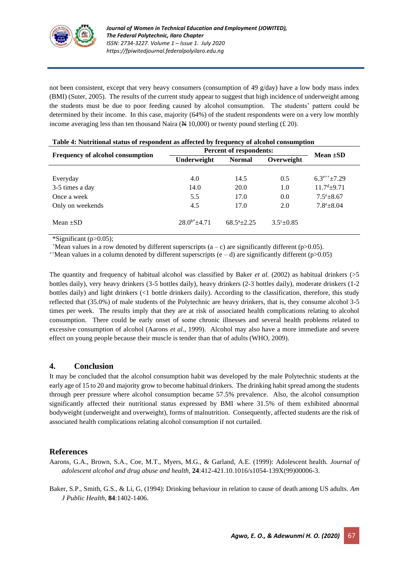

not been consistent, except that very heavy consumers (consumption of 49  $g/day$ ) have a low body mass index (BMI) (Suter, 2005). The results of the current study appear to suggest that high incidence of underweight among the students must be due to poor feeding caused by alcohol consumption. The students' pattern could be determined by their income. In this case, majority (64%) of the student respondents were on a very low monthly income averaging less than ten thousand Naira  $(\cancel{\text{A}} 10,000)$  or twenty pound sterling (£ 20).

| Frequency of alcohol consumption | <b>Percent of respondents:</b> | Mean $\pm SD$              |                      |                                 |  |
|----------------------------------|--------------------------------|----------------------------|----------------------|---------------------------------|--|
|                                  | Underweight                    | <b>Normal</b>              | Overweight           |                                 |  |
|                                  |                                |                            |                      |                                 |  |
| Everyday                         | 4.0                            | 14.5                       | 0.5                  | $6.3$ <sup>e++</sup> $\pm$ 7.29 |  |
| 3-5 times a day                  | 14.0                           | <b>20.0</b>                | 1.0                  | $11.7^{\text{d}}\pm9.71$        |  |
| Once a week                      | 5.5                            | 17.0                       | 0.0                  | $7.5^{\circ}$ ±8.67             |  |
| Only on weekends                 | 4.5                            | 17.0                       | 2.0                  | $7.8^{\circ}$ ±8.04             |  |
| Mean $\pm$ SD                    | $28.0^{b*} + 4.71$             | $68.5^{\mathrm{a}}$ + 2.25 | $3.5^{\circ}$ ± 0.85 |                                 |  |

| Table 4: Nutritional status of respondent as affected by frequency of alcohol consumption |  |  |  |
|-------------------------------------------------------------------------------------------|--|--|--|
|                                                                                           |  |  |  |

\*Significant (p>0.05);

 $+$ Mean values in a row denoted by different superscripts (a – c) are significantly different (p>0.05).

 $^{++}$ Mean values in a column denoted by different superscripts (e – d) are significantly different (p $>0.05$ )

The quantity and frequency of habitual alcohol was classified by Baker *et al.* (2002) as habitual drinkers ( $>5$ bottles daily), very heavy drinkers (3-5 bottles daily), heavy drinkers (2-3 bottles daily), moderate drinkers (1-2 bottles daily) and light drinkers (<1 bottle drinkers daily). According to the classification, therefore, this study reflected that (35.0%) of male students of the Polytechnic are heavy drinkers, that is, they consume alcohol 3-5 times per week. The results imply that they are at risk of associated health complications relating to alcohol consumption. There could be early onset of some chronic illnesses and several health problems related to excessive consumption of alcohol (Aarons *et al*., 1999). Alcohol may also have a more immediate and severe effect on young people because their muscle is tender than that of adults (WHO, 2009).

## **4. Conclusion**

It may be concluded that the alcohol consumption habit was developed by the male Polytechnic students at the early age of 15 to 20 and majority grow to become habitual drinkers. The drinking habit spread among the students through peer pressure where alcohol consumption became 57.5% prevalence. Also, the alcohol consumption significantly affected their nutritional status expressed by BMI where 31.5% of them exhibited abnormal bodyweight (underweight and overweight), forms of malnutrition. Consequently, affected students are the risk of associated health complications relating alcohol consumption if not curtailed.

# **References**

Aarons, G.A., Brown, S.A., Coe, M.T., Myers, M.G., & Garland, A.E. (1999): Adolescent health. *Journal of adolescent alcohol and drug abuse and health*, **24**:412-421.10.1016/s1054-139X(99)00006-3.

Baker, S.P., Smith, G.S., & Li, G, (1994): Drinking behaviour in relation to cause of death among US adults. *Am J Public Health*, **84**:1402-1406.